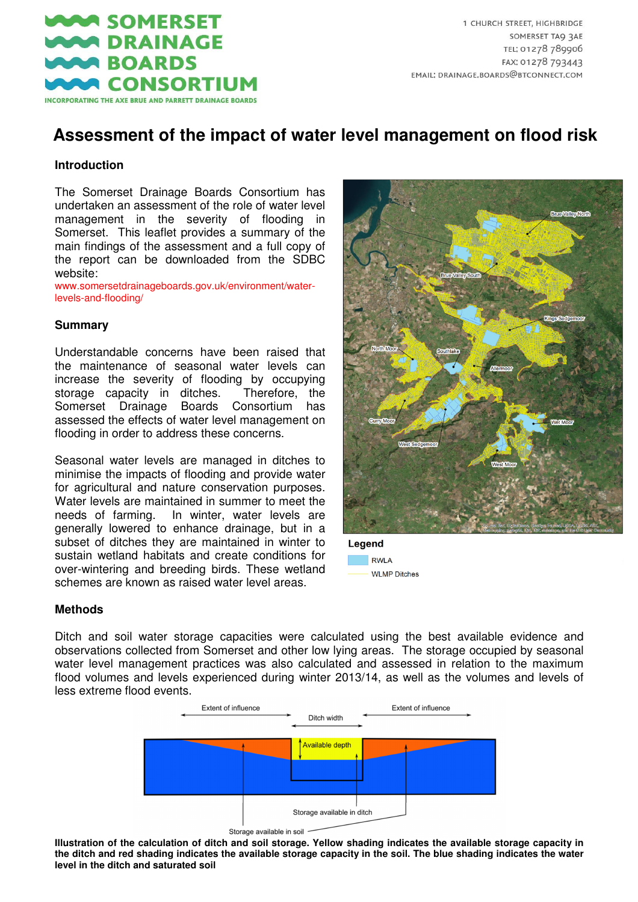

# **Assessment of the impact of water level management on flood risk**

#### **Introduction**

The Somerset Drainage Boards Consortium has undertaken an assessment of the role of water level management in the severity of flooding in Somerset. This leaflet provides a summary of the main findings of the assessment and a full copy of the report can be downloaded from the SDBC website:

www.somersetdrainageboards.gov.uk/environment/waterlevels-and-flooding/

#### **Summary**

Understandable concerns have been raised that the maintenance of seasonal water levels can increase the severity of flooding by occupying storage capacity in ditches. Therefore, the Somerset Drainage Boards Consortium has assessed the effects of water level management on flooding in order to address these concerns.

Seasonal water levels are managed in ditches to minimise the impacts of flooding and provide water for agricultural and nature conservation purposes. Water levels are maintained in summer to meet the needs of farming. In winter, water levels are generally lowered to enhance drainage, but in a subset of ditches they are maintained in winter to sustain wetland habitats and create conditions for over-wintering and breeding birds. These wetland schemes are known as raised water level areas.



Legend **RWLA WLMP Ditches** 

#### **Methods**

Ditch and soil water storage capacities were calculated using the best available evidence and observations collected from Somerset and other low lying areas. The storage occupied by seasonal water level management practices was also calculated and assessed in relation to the maximum flood volumes and levels experienced during winter 2013/14, as well as the volumes and levels of less extreme flood events.





**Illustration of the calculation of ditch and soil storage. Yellow shading indicates the available storage capacity in the ditch and red shading indicates the available storage capacity in the soil. The blue shading indicates the water level in the ditch and saturated soil**